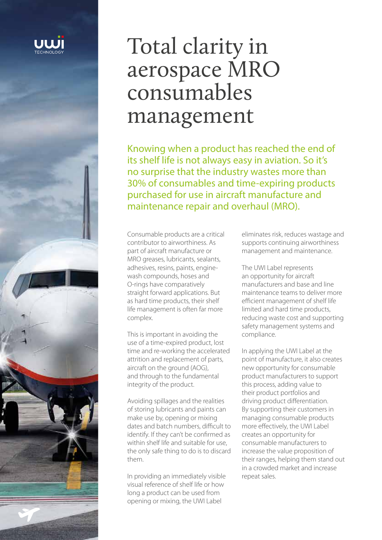

# Total clarity in aerospace MRO consumables management

Knowing when a product has reached the end of its shelf life is not always easy in aviation. So it's no surprise that the industry wastes more than 30% of consumables and time-expiring products purchased for use in aircraft manufacture and maintenance repair and overhaul (MRO).

Consumable products are a critical contributor to airworthiness. As part of aircraft manufacture or MRO greases, lubricants, sealants, adhesives, resins, paints, enginewash compounds, hoses and O-rings have comparatively straight forward applications. But as hard time products, their shelf life management is often far more complex.

This is important in avoiding the use of a time-expired product, lost time and re-working the accelerated attrition and replacement of parts, aircraft on the ground (AOG), and through to the fundamental integrity of the product.

Avoiding spillages and the realities of storing lubricants and paints can make use by, opening or mixing dates and batch numbers, difficult to identify. If they can't be confirmed as within shelf life and suitable for use, the only safe thing to do is to discard them.

In providing an immediately visible visual reference of shelf life or how long a product can be used from opening or mixing, the UWI Label

eliminates risk, reduces wastage and supports continuing airworthiness management and maintenance.

The UWI Label represents an opportunity for aircraft manufacturers and base and line maintenance teams to deliver more efficient management of shelf life limited and hard time products, reducing waste cost and supporting safety management systems and compliance.

In applying the UWI Label at the point of manufacture, it also creates new opportunity for consumable product manufacturers to support this process, adding value to their product portfolios and driving product differentiation. By supporting their customers in managing consumable products more effectively, the UWI Label creates an opportunity for consumable manufacturers to increase the value proposition of their ranges, helping them stand out in a crowded market and increase repeat sales.